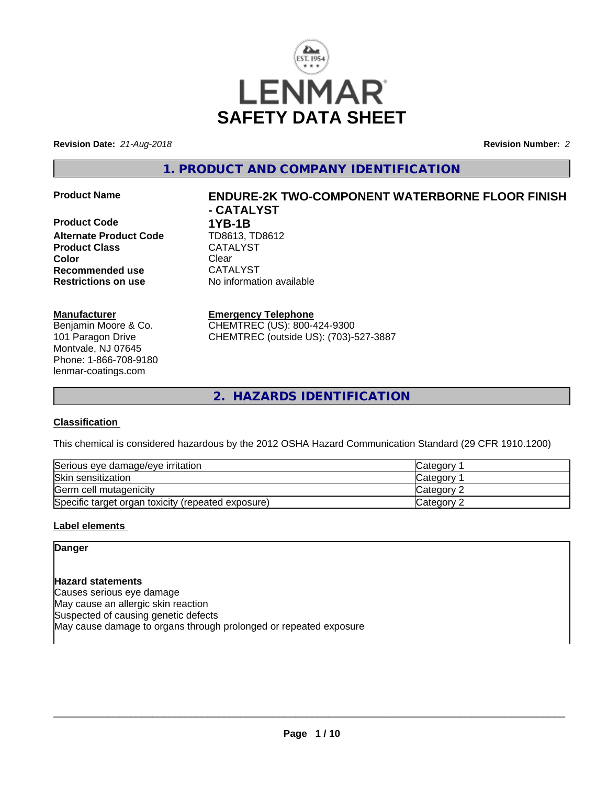

**Revision Date:** *21-Aug-2018* **Revision Number:** *2*

**1. PRODUCT AND COMPANY IDENTIFICATION**

**Product Code 1YB-1B**<br>**Alternate Product Code 1D8613, TD8612 Alternate Product Code TD8613, TD<br>Product Class CATALYST Product Class Color** Clear Clear **Recommended use** CATALYST **Restrictions on use** No information available

#### **Manufacturer**

Benjamin Moore & Co. 101 Paragon Drive Montvale, NJ 07645 Phone: 1-866-708-9180 lenmar-coatings.com

# **Product Name ENDURE-2K TWO-COMPONENT WATERBORNE FLOOR FINISH - CATALYST**

**Emergency Telephone** CHEMTREC (US): 800-424-9300 CHEMTREC (outside US): (703)-527-3887

**2. HAZARDS IDENTIFICATION**

# **Classification**

This chemical is considered hazardous by the 2012 OSHA Hazard Communication Standard (29 CFR 1910.1200)

| Serious eye damage/eye irritation                  | <b>Category</b>   |
|----------------------------------------------------|-------------------|
| Skin sensitization                                 | Category          |
| Germ cell mutagenicity                             | <b>Category 2</b> |
| Specific target organ toxicity (repeated exposure) | Category 2        |

### **Label elements**

**Danger**

**Hazard statements** Causes serious eye damage May cause an allergic skin reaction Suspected of causing genetic defects May cause damage to organs through prolonged or repeated exposure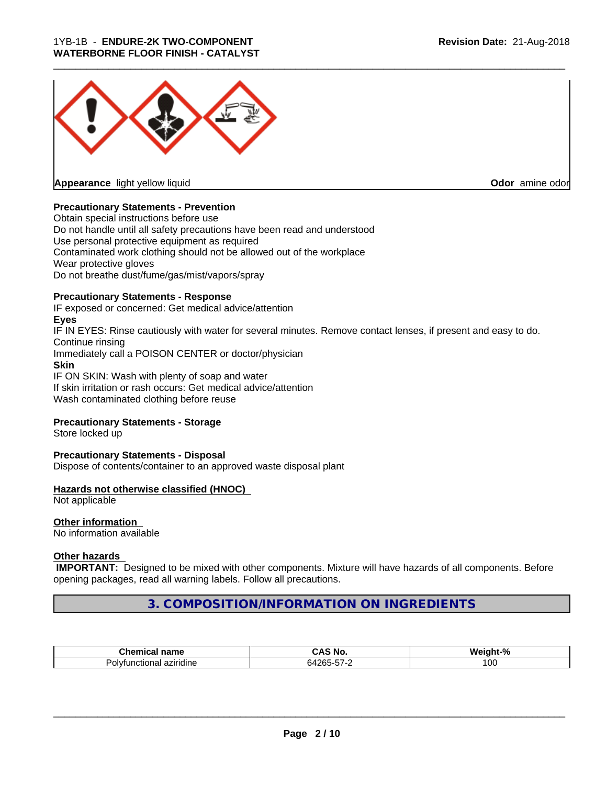

**Appearance** light yellow liquid

**Odor** amine odor

#### **Precautionary Statements - Prevention**

Obtain special instructions before use Do not handle until all safety precautions have been read and understood Use personal protective equipment as required Contaminated work clothing should not be allowed out of the workplace Wear protective gloves Do not breathe dust/fume/gas/mist/vapors/spray

#### **Precautionary Statements - Response**

IF exposed or concerned: Get medical advice/attention **Eyes** IF IN EYES: Rinse cautiously with water for several minutes. Remove contact lenses, if present and easy to do. Continue rinsing Immediately call a POISON CENTER or doctor/physician **Skin** IF ON SKIN: Wash with plenty of soap and water If skin irritation or rash occurs: Get medical advice/attention

Wash contaminated clothing before reuse

#### **Precautionary Statements - Storage**

Store locked up

#### **Precautionary Statements - Disposal**

Dispose of contents/container to an approved waste disposal plant

#### **Hazards not otherwise classified (HNOC)**

Not applicable

# **Other information**

No information available

#### **Other hazards**

 **IMPORTANT:** Designed to be mixed with other components. Mixture will have hazards of all components. Before opening packages, read all warning labels. Follow all precautions.

**3. COMPOSITION/INFORMATION ON INGREDIENTS**

| <b>Chemical name</b>                          | ^^`<br>™ NO.<br>unc                                  | $\mathbf{a}$<br>W۵ir<br>ماتمت<br>ant-*<br>n |
|-----------------------------------------------|------------------------------------------------------|---------------------------------------------|
| $\sim$<br>tunctional<br>l aziridine<br>Polvi⊾ | $\cdots$<br>___<br>6426.<br>$-1 - 1$<br>ື<br>$\cdot$ | 0٥                                          |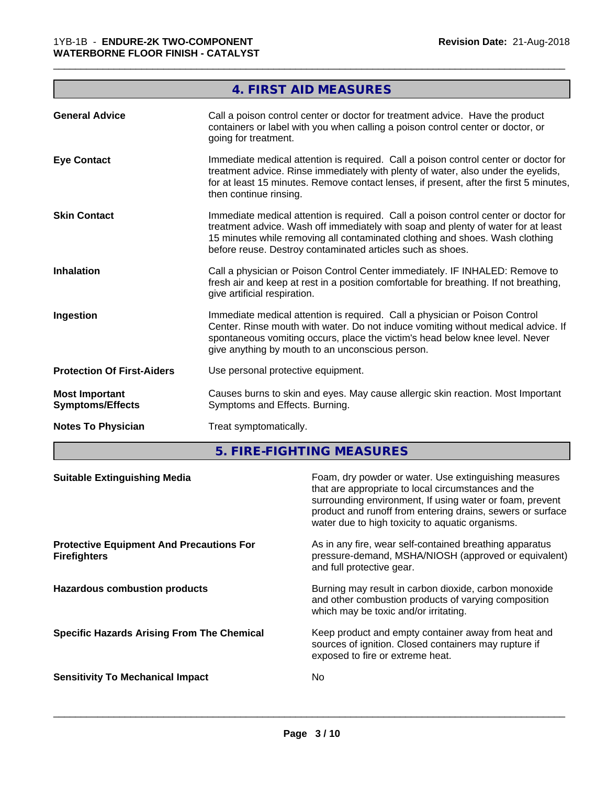|                                                  | <b>4. FIRST AID MEASURES</b>                                                                                                                                                                                                                                                                                           |
|--------------------------------------------------|------------------------------------------------------------------------------------------------------------------------------------------------------------------------------------------------------------------------------------------------------------------------------------------------------------------------|
| <b>General Advice</b>                            | Call a poison control center or doctor for treatment advice. Have the product<br>containers or label with you when calling a poison control center or doctor, or<br>going for treatment.                                                                                                                               |
| <b>Eye Contact</b>                               | Immediate medical attention is required. Call a poison control center or doctor for<br>treatment advice. Rinse immediately with plenty of water, also under the eyelids,<br>for at least 15 minutes. Remove contact lenses, if present, after the first 5 minutes,<br>then continue rinsing.                           |
| <b>Skin Contact</b>                              | Immediate medical attention is required. Call a poison control center or doctor for<br>treatment advice. Wash off immediately with soap and plenty of water for at least<br>15 minutes while removing all contaminated clothing and shoes. Wash clothing<br>before reuse. Destroy contaminated articles such as shoes. |
| <b>Inhalation</b>                                | Call a physician or Poison Control Center immediately. IF INHALED: Remove to<br>fresh air and keep at rest in a position comfortable for breathing. If not breathing,<br>give artificial respiration.                                                                                                                  |
| Ingestion                                        | Immediate medical attention is required. Call a physician or Poison Control<br>Center. Rinse mouth with water. Do not induce vomiting without medical advice. If<br>spontaneous vomiting occurs, place the victim's head below knee level. Never<br>give anything by mouth to an unconscious person.                   |
| <b>Protection Of First-Aiders</b>                | Use personal protective equipment.                                                                                                                                                                                                                                                                                     |
| <b>Most Important</b><br><b>Symptoms/Effects</b> | Causes burns to skin and eyes. May cause allergic skin reaction. Most Important<br>Symptoms and Effects. Burning.                                                                                                                                                                                                      |
| <b>Notes To Physician</b>                        | Treat symptomatically.                                                                                                                                                                                                                                                                                                 |
|                                                  | 5. FIRE-FIGHTING MEASURES                                                                                                                                                                                                                                                                                              |

| <b>Suitable Extinguishing Media</b>                                    | Foam, dry powder or water. Use extinguishing measures<br>that are appropriate to local circumstances and the<br>surrounding environment, If using water or foam, prevent<br>product and runoff from entering drains, sewers or surface<br>water due to high toxicity to aquatic organisms. |
|------------------------------------------------------------------------|--------------------------------------------------------------------------------------------------------------------------------------------------------------------------------------------------------------------------------------------------------------------------------------------|
| <b>Protective Equipment And Precautions For</b><br><b>Firefighters</b> | As in any fire, wear self-contained breathing apparatus<br>pressure-demand, MSHA/NIOSH (approved or equivalent)<br>and full protective gear.                                                                                                                                               |
| <b>Hazardous combustion products</b>                                   | Burning may result in carbon dioxide, carbon monoxide<br>and other combustion products of varying composition<br>which may be toxic and/or irritating.                                                                                                                                     |
| <b>Specific Hazards Arising From The Chemical</b>                      | Keep product and empty container away from heat and<br>sources of ignition. Closed containers may rupture if<br>exposed to fire or extreme heat.                                                                                                                                           |
| <b>Sensitivity To Mechanical Impact</b>                                | No.                                                                                                                                                                                                                                                                                        |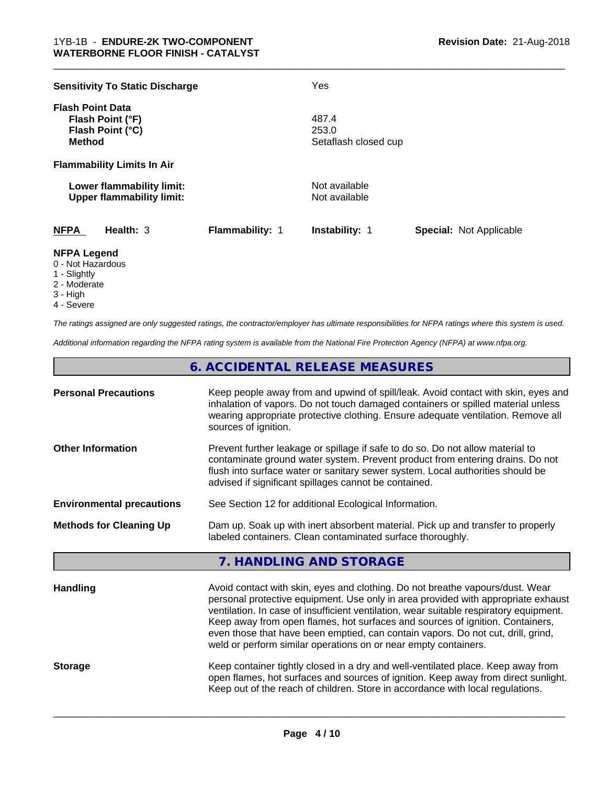| <b>Sensitivity To Static Discharge</b>                                           |                 | Yes                                    |                                |
|----------------------------------------------------------------------------------|-----------------|----------------------------------------|--------------------------------|
| <b>Flash Point Data</b><br>Flash Point (°F)<br>Flash Point (°C)<br><b>Method</b> |                 | 487.4<br>253.0<br>Setaflash closed cup |                                |
| <b>Flammability Limits In Air</b>                                                |                 |                                        |                                |
| Lower flammability limit:<br><b>Upper flammability limit:</b>                    |                 | Not available<br>Not available         |                                |
| <b>NFPA</b><br>Health: $3$                                                       | Flammability: 1 | <b>Instability: 1</b>                  | <b>Special: Not Applicable</b> |

#### **NFPA Legend**

- 0 Not Hazardous
- 1 Slightly
- 2 Moderate
- 3 High
- 4 Severe

*The ratings assigned are only suggested ratings, the contractor/employer has ultimate responsibilities for NFPA ratings where this system is used.*

*Additional information regarding the NFPA rating system is available from the National Fire Protection Agency (NFPA) at www.nfpa.org.*

# **6. ACCIDENTAL RELEASE MEASURES**

| <b>Personal Precautions</b>                                                                                                                                                     | Keep people away from and upwind of spill/leak. Avoid contact with skin, eyes and<br>inhalation of vapors. Do not touch damaged containers or spilled material unless<br>wearing appropriate protective clothing. Ensure adequate ventilation. Remove all<br>sources of ignition.                                                                                                                                                                                                                    |  |  |
|---------------------------------------------------------------------------------------------------------------------------------------------------------------------------------|------------------------------------------------------------------------------------------------------------------------------------------------------------------------------------------------------------------------------------------------------------------------------------------------------------------------------------------------------------------------------------------------------------------------------------------------------------------------------------------------------|--|--|
| <b>Other Information</b>                                                                                                                                                        | Prevent further leakage or spillage if safe to do so. Do not allow material to<br>contaminate ground water system. Prevent product from entering drains. Do not<br>flush into surface water or sanitary sewer system. Local authorities should be<br>advised if significant spillages cannot be contained.                                                                                                                                                                                           |  |  |
| <b>Environmental precautions</b>                                                                                                                                                | See Section 12 for additional Ecological Information.                                                                                                                                                                                                                                                                                                                                                                                                                                                |  |  |
| Dam up. Soak up with inert absorbent material. Pick up and transfer to properly<br><b>Methods for Cleaning Up</b><br>labeled containers. Clean contaminated surface thoroughly. |                                                                                                                                                                                                                                                                                                                                                                                                                                                                                                      |  |  |
|                                                                                                                                                                                 |                                                                                                                                                                                                                                                                                                                                                                                                                                                                                                      |  |  |
|                                                                                                                                                                                 | 7. HANDLING AND STORAGE                                                                                                                                                                                                                                                                                                                                                                                                                                                                              |  |  |
| <b>Handling</b>                                                                                                                                                                 | Avoid contact with skin, eyes and clothing. Do not breathe vapours/dust. Wear<br>personal protective equipment. Use only in area provided with appropriate exhaust<br>ventilation. In case of insufficient ventilation, wear suitable respiratory equipment.<br>Keep away from open flames, hot surfaces and sources of ignition. Containers,<br>even those that have been emptied, can contain vapors. Do not cut, drill, grind,<br>weld or perform similar operations on or near empty containers. |  |  |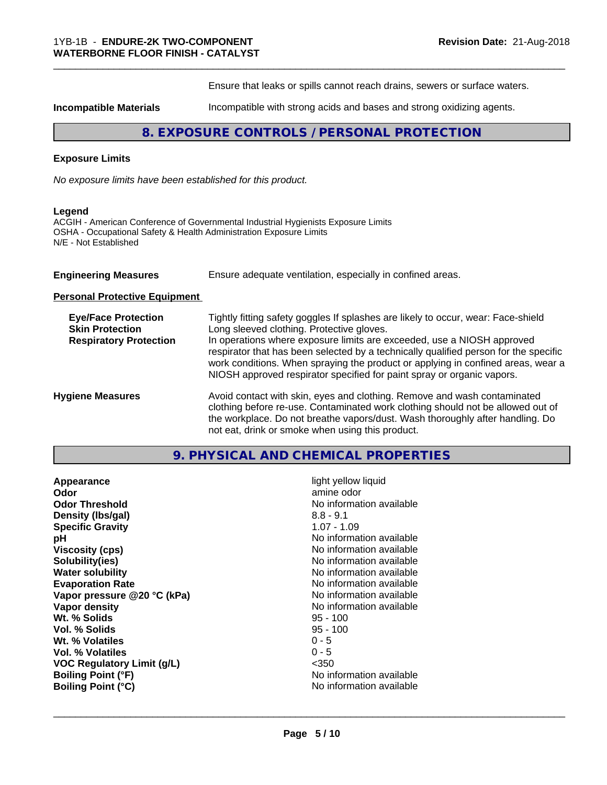Ensure that leaks or spills cannot reach drains, sewers or surface waters.

\_\_\_\_\_\_\_\_\_\_\_\_\_\_\_\_\_\_\_\_\_\_\_\_\_\_\_\_\_\_\_\_\_\_\_\_\_\_\_\_\_\_\_\_\_\_\_\_\_\_\_\_\_\_\_\_\_\_\_\_\_\_\_\_\_\_\_\_\_\_\_\_\_\_\_\_\_\_\_\_\_\_\_\_\_\_\_\_\_\_\_\_\_

**Incompatible Materials Incompatible with strong acids and bases and strong oxidizing agents.** 

# **8. EXPOSURE CONTROLS / PERSONAL PROTECTION**

#### **Exposure Limits**

*No exposure limits have been established for this product.*

#### **Legend**

ACGIH - American Conference of Governmental Industrial Hygienists Exposure Limits OSHA - Occupational Safety & Health Administration Exposure Limits N/E - Not Established

| <b>Engineering Measures</b> | Ensure adequate ventilation, especially in confined areas. |  |
|-----------------------------|------------------------------------------------------------|--|
|-----------------------------|------------------------------------------------------------|--|

**Personal Protective Equipment**

| <b>Eye/Face Protection</b>    | Tightly fitting safety goggles If splashes are likely to occur, wear: Face-shield                                                                                                                                                                                                                                            |
|-------------------------------|------------------------------------------------------------------------------------------------------------------------------------------------------------------------------------------------------------------------------------------------------------------------------------------------------------------------------|
| <b>Skin Protection</b>        | Long sleeved clothing. Protective gloves.                                                                                                                                                                                                                                                                                    |
| <b>Respiratory Protection</b> | In operations where exposure limits are exceeded, use a NIOSH approved<br>respirator that has been selected by a technically qualified person for the specific<br>work conditions. When spraying the product or applying in confined areas, wear a<br>NIOSH approved respirator specified for paint spray or organic vapors. |
| <b>Hygiene Measures</b>       | Avoid contact with skin, eyes and clothing. Remove and wash contaminated<br>clothing before re-use. Contaminated work clothing should not be allowed out of<br>the workplace. Do not breathe vapors/dust. Wash thoroughly after handling. Do<br>not eat, drink or smoke when using this product.                             |

| 9. PHYSICAL AND CHEMICAL PROPERTIES |  |
|-------------------------------------|--|
|-------------------------------------|--|

| Appearance<br>Odor<br><b>Odor Threshold</b><br>Density (Ibs/gal) | light yellow liquid<br>amine odor<br>No information available<br>$8.8 - 9.1$     |
|------------------------------------------------------------------|----------------------------------------------------------------------------------|
| <b>Specific Gravity</b>                                          | $1.07 - 1.09$                                                                    |
| рH<br><b>Viscosity (cps)</b><br>Solubility(ies)                  | No information available<br>No information available<br>No information available |
| <b>Water solubility</b>                                          | No information available                                                         |
| <b>Evaporation Rate</b>                                          | No information available                                                         |
| Vapor pressure @20 °C (kPa)                                      | No information available                                                         |
| Vapor density                                                    | No information available                                                         |
| Wt. % Solids                                                     | $95 - 100$                                                                       |
| Vol. % Solids                                                    | $95 - 100$                                                                       |
| Wt. % Volatiles                                                  | $0 - 5$                                                                          |
| Vol. % Volatiles                                                 | $0 - 5$                                                                          |
| <b>VOC Regulatory Limit (g/L)</b>                                | $<$ 350                                                                          |
| <b>Boiling Point (°F)</b>                                        | No information available                                                         |
| <b>Boiling Point (°C)</b>                                        | No information available                                                         |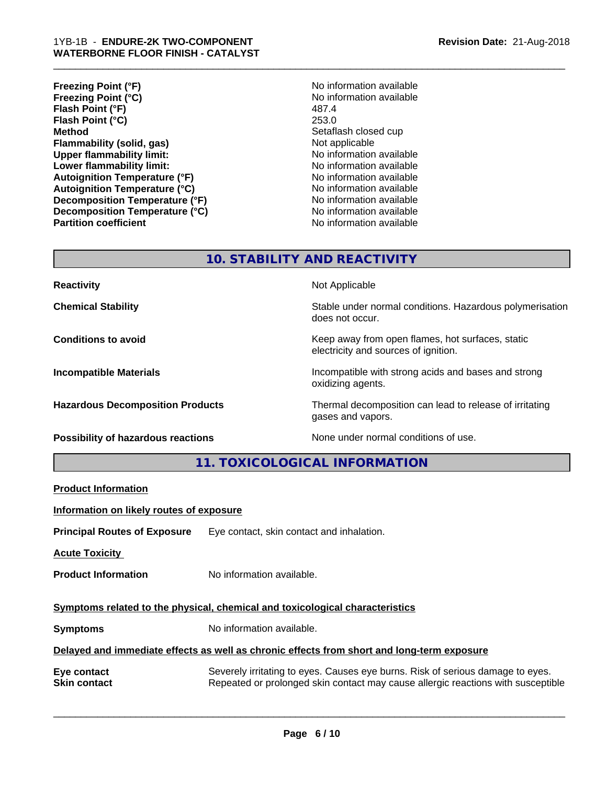- **Freezing Point (°F)**<br> **Freezing Point (°C)**<br> **Freezing Point (°C)**<br> **No** information available **Freezing Point (°C)** No information available to the North A87.4 No information and A87.4 **Flash Point (°F) Flash Point (°C)** 253.0 **Method** Setaflash closed cup **Flammability (solid, gas)** Not applicable **Upper flammability limit:** No information available **Lower flammability limit:**<br> **Autoignition Temperature (°F)** No information available<br>
No information available **Autoignition Temperature (°F) Autoignition Temperature (°C)** No information available **Decomposition Temperature (°F)** No information available **Decomposition Temperature (°C)** No information available **Partition coefficient** No information available
- 

# **10. STABILITY AND REACTIVITY**

**Reactivity Not Applicable Not Applicable** 

**Chemical Stability Stability** Stable under normal conditions. Hazardous polymerisation does not occur.

**Conditions to avoid Keep away from open flames, hot surfaces, static Conditions to avoid Keep away from open flames**, hot surfaces, static electricity and sources of ignition.

**Incompatible Materials Incompatible with strong acids and bases and strong** oxidizing agents.

**Hazardous Decomposition Products** Thermal decomposition can lead to release of irritating gases and vapors.

**Possibility of hazardous reactions** None under normal conditions of use.

**11. TOXICOLOGICAL INFORMATION**

**Product Information**

**Information on likely routes of exposure**

**Principal Routes of Exposure** Eye contact, skin contact and inhalation.

**Acute Toxicity** 

**Product Information** No information available.

**Symptoms related to the physical,chemical and toxicological characteristics**

**Symptoms** No information available.

**Delayed and immediate effects as well as chronic effects from short and long-term exposure**

**Eye contact** Severely irritating to eyes. Causes eye burns. Risk of serious damage to eyes. **Skin contact** Repeated or prolonged skin contact may cause allergic reactions with susceptible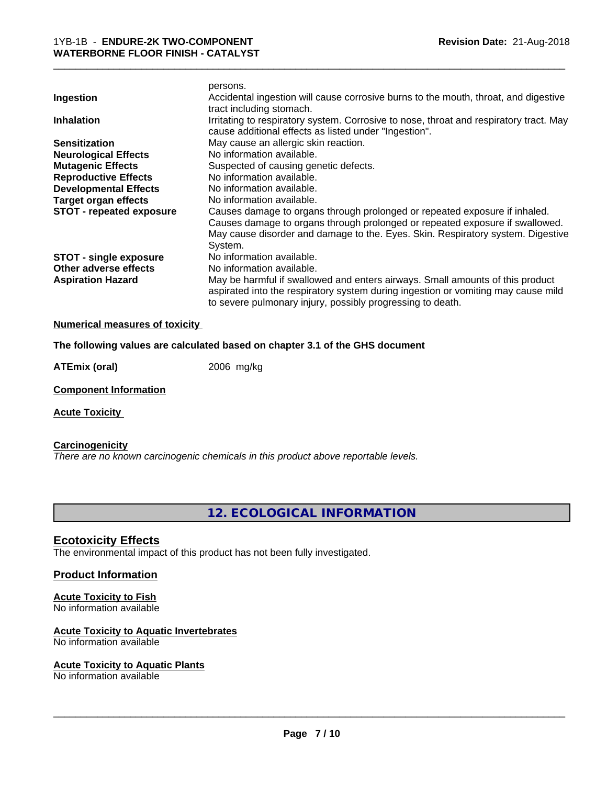| Ingestion                     | persons.<br>Accidental ingestion will cause corrosive burns to the mouth, throat, and digestive<br>tract including stomach.                                |
|-------------------------------|------------------------------------------------------------------------------------------------------------------------------------------------------------|
| <b>Inhalation</b>             | Irritating to respiratory system. Corrosive to nose, throat and respiratory tract. May<br>cause additional effects as listed under "Ingestion".            |
| <b>Sensitization</b>          | May cause an allergic skin reaction.                                                                                                                       |
| <b>Neurological Effects</b>   | No information available.                                                                                                                                  |
| <b>Mutagenic Effects</b>      | Suspected of causing genetic defects.                                                                                                                      |
| <b>Reproductive Effects</b>   | No information available.                                                                                                                                  |
| <b>Developmental Effects</b>  | No information available.                                                                                                                                  |
| <b>Target organ effects</b>   | No information available.                                                                                                                                  |
| STOT - repeated exposure      | Causes damage to organs through prolonged or repeated exposure if inhaled.<br>Causes damage to organs through prolonged or repeated exposure if swallowed. |
|                               | May cause disorder and damage to the. Eyes. Skin. Respiratory system. Digestive                                                                            |
|                               | System.                                                                                                                                                    |
| <b>STOT - single exposure</b> | No information available.                                                                                                                                  |
| Other adverse effects         | No information available.                                                                                                                                  |
| <b>Aspiration Hazard</b>      | May be harmful if swallowed and enters airways. Small amounts of this product                                                                              |
|                               | aspirated into the respiratory system during ingestion or vomiting may cause mild<br>to severe pulmonary injury, possibly progressing to death.            |
|                               |                                                                                                                                                            |

#### **Numerical measures of toxicity**

**The following values are calculated based on chapter 3.1 of the GHS document**

**ATEmix (oral)** 2006 mg/kg

**Component Information**

**Acute Toxicity** 

# **Carcinogenicity**

*There are no known carcinogenic chemicals in this product above reportable levels.*

**12. ECOLOGICAL INFORMATION**

#### **Ecotoxicity Effects**

The environmental impact of this product has not been fully investigated.

#### **Product Information**

# **Acute Toxicity to Fish**

No information available

#### **Acute Toxicity to Aquatic Invertebrates**

No information available

#### **Acute Toxicity to Aquatic Plants**

No information available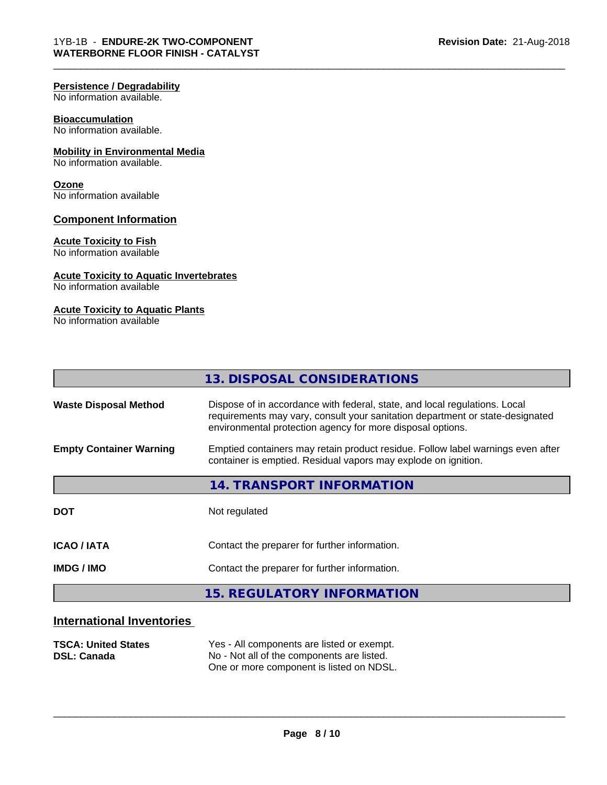#### **Persistence / Degradability**

No information available.

#### **Bioaccumulation**

No information available.

#### **Mobility in Environmental Media**

No information available.

#### **Ozone**

No information available

#### **Component Information**

#### **Acute Toxicity to Fish**

No information available

#### **Acute Toxicity to Aquatic Invertebrates**

No information available

#### **Acute Toxicity to Aquatic Plants**

No information available

|                                | 13. DISPOSAL CONSIDERATIONS                                                                                                                                                                                               |
|--------------------------------|---------------------------------------------------------------------------------------------------------------------------------------------------------------------------------------------------------------------------|
| <b>Waste Disposal Method</b>   | Dispose of in accordance with federal, state, and local regulations. Local<br>requirements may vary, consult your sanitation department or state-designated<br>environmental protection agency for more disposal options. |
| <b>Empty Container Warning</b> | Emptied containers may retain product residue. Follow label warnings even after<br>container is emptied. Residual vapors may explode on ignition.                                                                         |
|                                | 14. TRANSPORT INFORMATION                                                                                                                                                                                                 |
| <b>DOT</b>                     | Not regulated                                                                                                                                                                                                             |
| <b>ICAO / IATA</b>             | Contact the preparer for further information.                                                                                                                                                                             |
| <b>IMDG/IMO</b>                | Contact the preparer for further information.                                                                                                                                                                             |
|                                | <b>15. REGULATORY INFORMATION</b>                                                                                                                                                                                         |

# **International Inventories**

| <b>TSCA: United States</b> | Yes - All components are listed or exempt. |
|----------------------------|--------------------------------------------|
| <b>DSL: Canada</b>         | No - Not all of the components are listed. |
|                            | One or more component is listed on NDSL.   |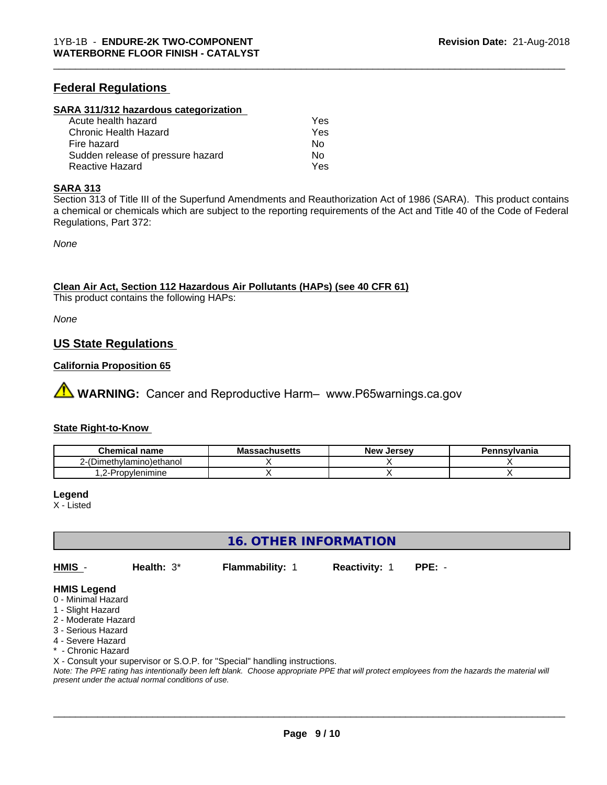# **Federal Regulations**

#### **SARA 311/312 hazardous categorization**

| Acute health hazard               | Yes |  |
|-----------------------------------|-----|--|
| Chronic Health Hazard             | Yes |  |
| Fire hazard                       | N٥  |  |
| Sudden release of pressure hazard | Nο  |  |
| Reactive Hazard                   | Yes |  |

#### **SARA 313**

Section 313 of Title III of the Superfund Amendments and Reauthorization Act of 1986 (SARA). This product contains a chemical or chemicals which are subject to the reporting requirements of the Act and Title 40 of the Code of Federal Regulations, Part 372:

\_\_\_\_\_\_\_\_\_\_\_\_\_\_\_\_\_\_\_\_\_\_\_\_\_\_\_\_\_\_\_\_\_\_\_\_\_\_\_\_\_\_\_\_\_\_\_\_\_\_\_\_\_\_\_\_\_\_\_\_\_\_\_\_\_\_\_\_\_\_\_\_\_\_\_\_\_\_\_\_\_\_\_\_\_\_\_\_\_\_\_\_\_

*None*

**Clean Air Act,Section 112 Hazardous Air Pollutants (HAPs) (see 40 CFR 61)**

This product contains the following HAPs:

*None*

### **US State Regulations**

#### **California Proposition 65**

**AVIMARNING:** Cancer and Reproductive Harm– www.P65warnings.ca.gov

#### **State Right-to-Know**

| Chemical<br>name            | - -<br>-aulluscus - | . Jersev<br><b>Nev</b> | <b>`nsvivania</b> |
|-----------------------------|---------------------|------------------------|-------------------|
| (Dimethylamino)ethanol<br>_ |                     |                        |                   |
| -<br>ropvlenimine<br>$-1$   |                     |                        |                   |

#### **Legend**

X - Listed

**16. OTHER INFORMATION**

**HMIS** - **Health:** 3\* **Flammability:** 1 **Reactivity:** 1 **PPE:** -

 $\overline{\phantom{a}}$  ,  $\overline{\phantom{a}}$  ,  $\overline{\phantom{a}}$  ,  $\overline{\phantom{a}}$  ,  $\overline{\phantom{a}}$  ,  $\overline{\phantom{a}}$  ,  $\overline{\phantom{a}}$  ,  $\overline{\phantom{a}}$  ,  $\overline{\phantom{a}}$  ,  $\overline{\phantom{a}}$  ,  $\overline{\phantom{a}}$  ,  $\overline{\phantom{a}}$  ,  $\overline{\phantom{a}}$  ,  $\overline{\phantom{a}}$  ,  $\overline{\phantom{a}}$  ,  $\overline{\phantom{a}}$ 

#### **HMIS Legend**

- 0 Minimal Hazard
- 1 Slight Hazard
- 2 Moderate Hazard
- 3 Serious Hazard
- 4 Severe Hazard
- \* Chronic Hazard

X - Consult your supervisor or S.O.P. for "Special" handling instructions.

*Note: The PPE rating has intentionally been left blank. Choose appropriate PPE that will protect employees from the hazards the material will present under the actual normal conditions of use.*